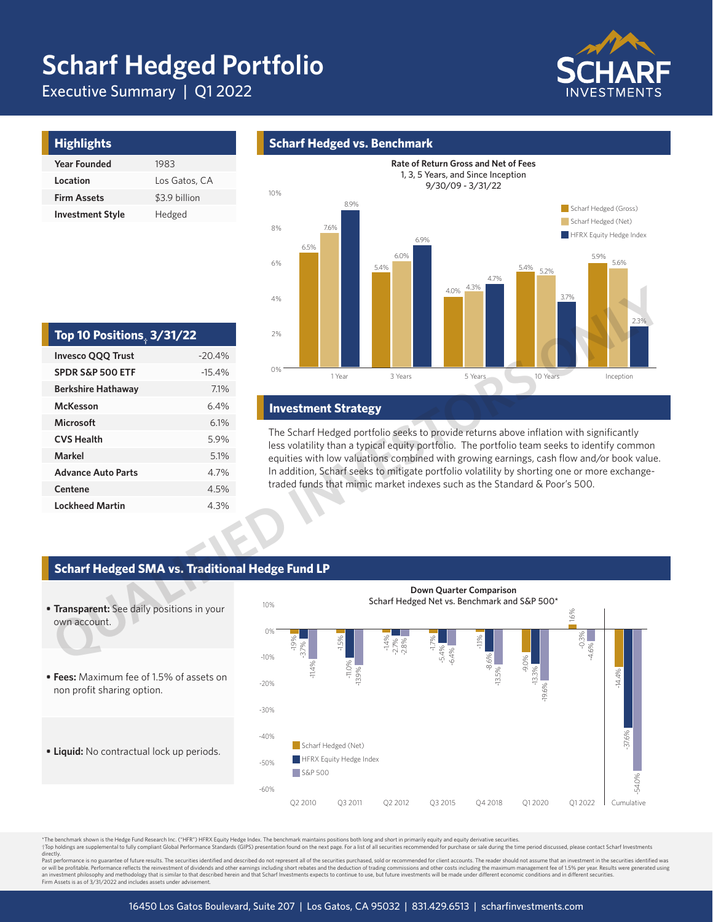# **Scharf Hedged Portfolio**

Executive Summary | Q1 2022



| <b>Highlights</b>       |               |
|-------------------------|---------------|
| <b>Year Founded</b>     | 1983          |
| Location                | Los Gatos, CA |
| <b>Firm Assets</b>      | \$3.9 billion |
| <b>Investment Style</b> | Hedged        |

## **Scharf Hedged vs. Benchmark**



### **Investment Strategy**

The Scharf Hedged portfolio seeks to provide returns above inflation with significantly less volatility than a typical equity portfolio. The portfolio team seeks to identify common equities with low valuations combined with growing earnings, cash flow and/or book value. In addition, Scharf seeks to mitigate portfolio volatility by shorting one or more exchangetraded funds that mimic market indexes such as the Standard & Poor's 500.

| Top 10 Positions, $3/31/22$ |          |  |  |  |  |
|-----------------------------|----------|--|--|--|--|
| <b>Invesco QQQ Trust</b>    | $-20.4%$ |  |  |  |  |
| <b>SPDR S&amp;P 500 ETF</b> | $-15.4%$ |  |  |  |  |
| <b>Berkshire Hathaway</b>   | 7.1%     |  |  |  |  |
| <b>McKesson</b>             | 6.4%     |  |  |  |  |
| Microsoft                   | 6.1%     |  |  |  |  |
| <b>CVS Health</b>           | 5.9%     |  |  |  |  |
| Markel                      | 5.1%     |  |  |  |  |
| <b>Advance Auto Parts</b>   | 4.7%     |  |  |  |  |
| Centene                     | 4.5%     |  |  |  |  |
| <b>Lockheed Martin</b>      | 4.3%     |  |  |  |  |

## **Scharf Hedged SMA vs. Traditional Hedge Fund LP**



.<br>The benchmark shown is the Hedge Fund Research Inc. ("HFR") HFRX Equity Hedge Index. The benchmark maintains positions both long and short in primarily equity and equity derivative securities. Top holdings are supplemental to fully compliant Global Performance Standards (GIPS) presentation found on the next page. For a list of all securities recommended for purchase or sale during the time period discussed, plea

directly.<br>Past performance is no guarantee of future results. The securities identified and described do not represent all of the securities purchased, sold or recommended for client accounts. The reader should not assume an investment philosophy and methodology that is similar to that described herein and that Scharf Investments expects to continue to use, but future investments will be made under different economic conditions and in diffe